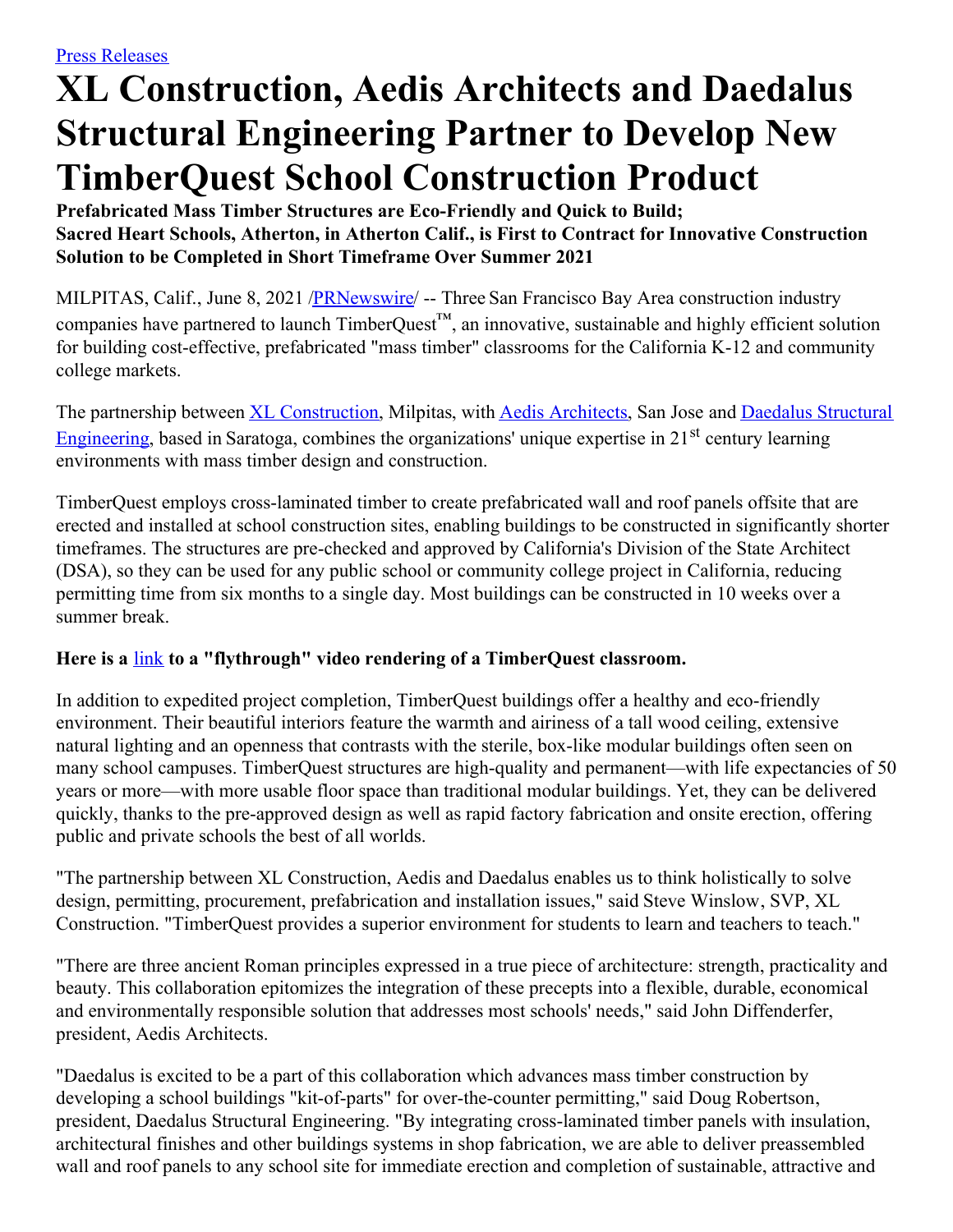# **XL Construction, Aedis Architects and Daedalus Structural Engineering Partner to Develop New TimberQuest School Construction Product**

**Prefabricated Mass Timber Structures are Eco-Friendly and Quick to Build; Sacred Heart Schools, Atherton, in Atherton Calif., is First to Contract for Innovative Construction Solution to be Completed in Short Timeframe Over Summer 2021**

MILPITAS, Calif., June 8, 2021 /**PRNewswire/** -- Three San Francisco Bay Area construction industry companies have partnered to launch TimberQuest™, an innovative, sustainable and highly efficient solution for building cost-effective, prefabricated "mass timber" classrooms for the California K-12 and community college markets.

The partnership between XL [Construction](https://c212.net/c/link/?t=0&l=en&o=3188865-1&h=1979560062&u=http%3A%2F%2Fwww.xlconstruction.com%2F&a=XL+Construction), Milpitas, with Aedis [Architects](https://c212.net/c/link/?t=0&l=en&o=3188865-1&h=738813844&u=https%3A%2F%2Fwww.aedisarchitects.com%2F&a=Aedis+Architects), San Jose and Daedalus Structural Engineering, based in Saratoga, combines the [organizations'](https://c212.net/c/link/?t=0&l=en&o=3188865-1&h=1455782349&u=https%3A%2F%2Fdaedalus-eng.com%2F&a=Daedalus+Structural+Engineering) unique expertise in 21<sup>st</sup> century learning environments with mass timber design and construction.

TimberQuest employs cross-laminated timber to create prefabricated wall and roof panels offsite that are erected and installed at school construction sites, enabling buildings to be constructed in significantly shorter timeframes. The structures are pre-checked and approved by California's Division of the State Architect (DSA), so they can be used for any public school or community college project in California, reducing permitting time from six months to a single day. Most buildings can be constructed in 10 weeks over a summer break.

# **Here is a** [link](https://c212.net/c/link/?t=0&l=en&o=3188865-1&h=1316953717&u=https%3A%2F%2Fwww.dropbox.com%2Fs%2F00rtv4zhj08exrd%2FTimberQuest%2520Classroom%2520Flythrough%2520Video%2520-%2520XL%2520Construction.mp4%3Fdl%3D0&a=link) **to a "flythrough" video rendering of a TimberQuest classroom.**

In addition to expedited project completion, TimberQuest buildings offer a healthy and eco-friendly environment. Their beautiful interiors feature the warmth and airiness of a tall wood ceiling, extensive natural lighting and an openness that contrasts with the sterile, box-like modular buildings often seen on many school campuses. TimberQuest structures are high-quality and permanent—with life expectancies of 50 years or more—with more usable floor space than traditional modular buildings. Yet, they can be delivered quickly, thanks to the pre-approved design as well as rapid factory fabrication and onsite erection, offering public and private schools the best of all worlds.

"The partnership between XL Construction, Aedis and Daedalus enables us to think holistically to solve design, permitting, procurement, prefabrication and installation issues," said Steve Winslow, SVP, XL Construction. "TimberQuest provides a superior environment for students to learn and teachers to teach."

"There are three ancient Roman principles expressed in a true piece of architecture: strength, practicality and beauty. This collaboration epitomizes the integration of these precepts into a flexible, durable, economical and environmentally responsible solution that addresses most schools' needs," said John Diffenderfer, president, Aedis Architects.

"Daedalus is excited to be a part of this collaboration which advances mass timber construction by developing a school buildings "kit-of-parts" for over-the-counter permitting," said Doug Robertson, president, Daedalus Structural Engineering. "By integrating cross-laminated timber panels with insulation, architectural finishes and other buildings systems in shop fabrication, we are able to deliver preassembled wall and roof panels to any school site for immediate erection and completion of sustainable, attractive and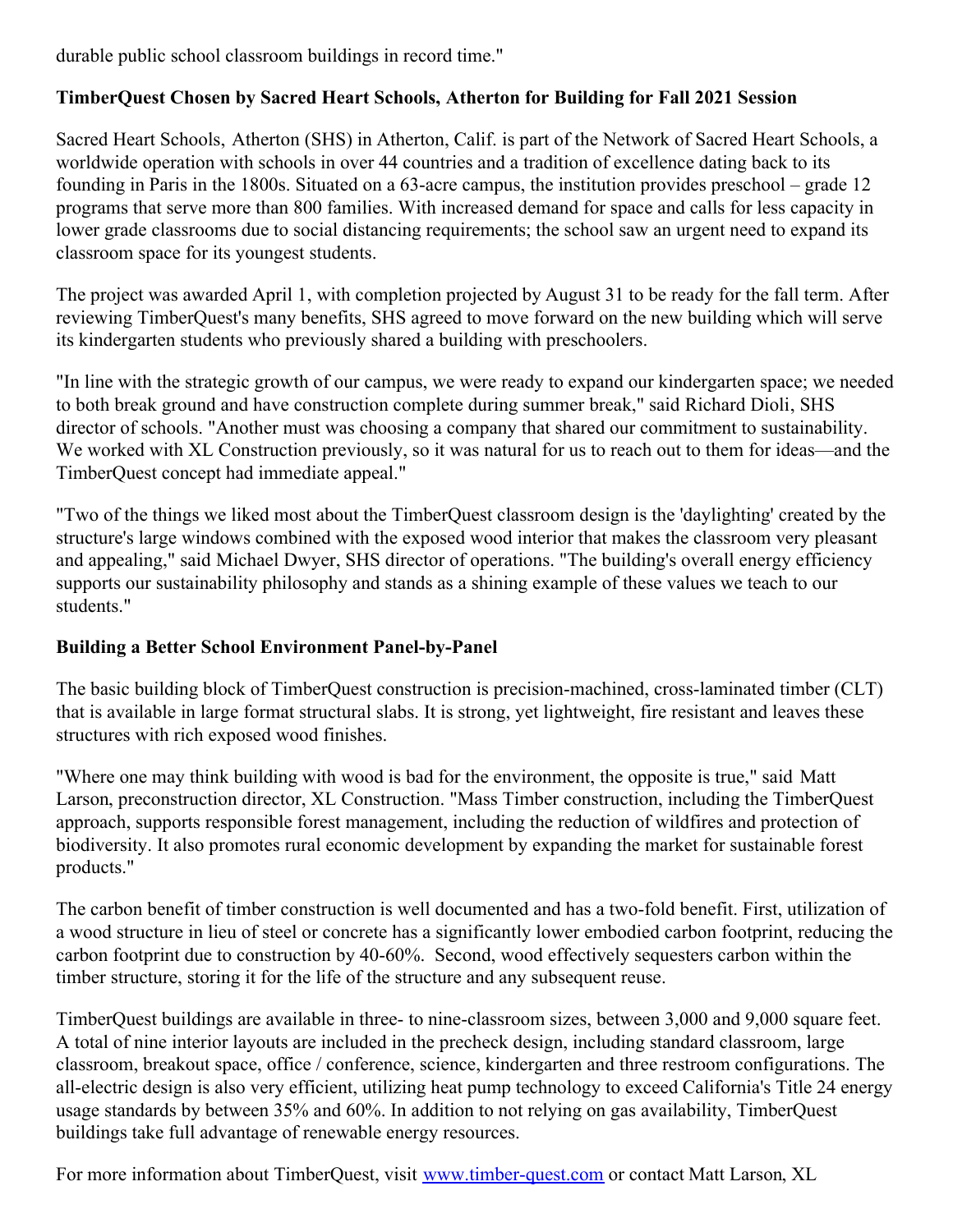durable public school classroom buildings in record time."

# **TimberQuest Chosen by Sacred Heart Schools, Atherton for Building for Fall 2021 Session**

Sacred Heart Schools, Atherton (SHS) in Atherton, Calif. is part of the Network of Sacred Heart Schools, a worldwide operation with schools in over 44 countries and a tradition of excellence dating back to its founding in Paris in the 1800s. Situated on a 63-acre campus, the institution provides preschool – grade 12 programs that serve more than 800 families. With increased demand for space and calls for less capacity in lower grade classrooms due to social distancing requirements; the school saw an urgent need to expand its classroom space for its youngest students.

The project was awarded April 1, with completion projected by August 31 to be ready for the fall term. After reviewing TimberQuest's many benefits, SHS agreed to move forward on the new building which will serve its kindergarten students who previously shared a building with preschoolers.

"In line with the strategic growth of our campus, we were ready to expand our kindergarten space; we needed to both break ground and have construction complete during summer break," said Richard Dioli, SHS director of schools. "Another must was choosing a company that shared our commitment to sustainability. We worked with XL Construction previously, so it was natural for us to reach out to them for ideas—and the TimberQuest concept had immediate appeal."

"Two of the things we liked most about the TimberQuest classroom design is the 'daylighting' created by the structure's large windows combined with the exposed wood interior that makes the classroom very pleasant and appealing," said Michael Dwyer, SHS director of operations. "The building's overall energy efficiency supports our sustainability philosophy and stands as a shining example of these values we teach to our students."

#### **Building a Better School Environment Panel-by-Panel**

The basic building block of TimberQuest construction is precision-machined, cross-laminated timber (CLT) that is available in large format structural slabs. It is strong, yet lightweight, fire resistant and leaves these structures with rich exposed wood finishes.

"Where one may think building with wood is bad for the environment, the opposite is true," said Matt Larson, preconstruction director, XL Construction. "Mass Timber construction, including the TimberQuest approach, supports responsible forest management, including the reduction of wildfires and protection of biodiversity. It also promotes rural economic development by expanding the market for sustainable forest products."

The carbon benefit of timber construction is well documented and has a two-fold benefit. First, utilization of a wood structure in lieu of steel or concrete has a significantly lower embodied carbon footprint, reducing the carbon footprint due to construction by 40-60%. Second, wood effectively sequesters carbon within the timber structure, storing it for the life of the structure and any subsequent reuse.

TimberQuest buildings are available in three- to nine-classroom sizes, between 3,000 and 9,000 square feet. A total of nine interior layouts are included in the precheck design, including standard classroom, large classroom, breakout space, office / conference, science, kindergarten and three restroom configurations. The all-electric design is also very efficient, utilizing heat pump technology to exceed California's Title 24 energy usage standards by between 35% and 60%. In addition to not relying on gas availability, TimberQuest buildings take full advantage of renewable energy resources.

For more information about TimberQuest, visit [www.timber-quest.com](https://c212.net/c/link/?t=0&l=en&o=3188865-1&h=1103093637&u=http%3A%2F%2Fwww.timber-quest.com%2F&a=www.timber-quest.com) or contact Matt Larson, XL